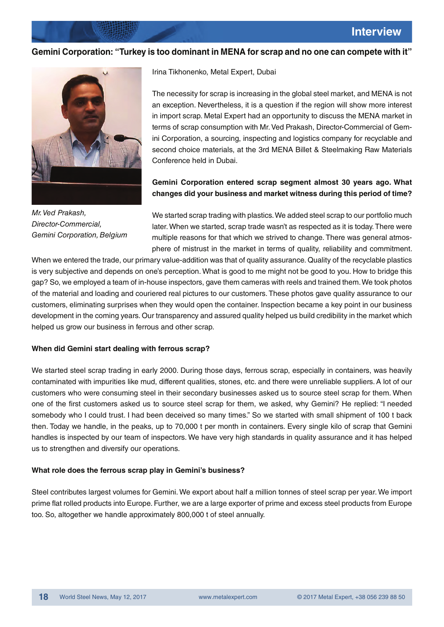#### **Gemini Corporation: "Turkey is too dominant in MENA for scrap and no one can compete with it"**



Mr. Ved Prakash, Director-Commercial, Gemini Corporation, Belgium

Irina Tikhonenko, Metal Expert, Dubai

The necessity for scrap is increasing in the global steel market, and MENA is not an exception. Nevertheless, it is a question if the region will show more interest in import scrap. Metal Expert had an opportunity to discuss the MENA market in terms of scrap consumption with Mr. Ved Prakash, Director-Commercial of Gemini Corporation, a sourcing, inspecting and logistics company for recyclable and second choice materials, at the 3rd MENA Billet & Steelmaking Raw Materials Conference held in Dubai.

## **Gemini Corporation entered scrap segment almost 30 years ago. What changes did your business and market witness during this period of time?**

We started scrap trading with plastics. We added steel scrap to our portfolio much later. When we started, scrap trade wasn't as respected as it is today. There were multiple reasons for that which we strived to change. There was general atmosphere of mistrust in the market in terms of quality, reliability and commitment.

When we entered the trade, our primary value-addition was that of quality assurance. Quality of the recyclable plastics is very subjective and depends on one's perception. What is good to me might not be good to you. How to bridge this gap? So, we employed a team of in-house inspectors, gave them cameras with reels and trained them. We took photos of the material and loading and couriered real pictures to our customers. These photos gave quality assurance to our customers, eliminating surprises when they would open the container. Inspection became a key point in our business development in the coming vears. Our transparency and assured quality helped us build credibility in the market which helped us grow our business in ferrous and other scrap.

#### **When did Gemini start dealing with ferrous scrap?**

We started steel scrap trading in early 2000. During those days, ferrous scrap, especially in containers, was heavily contaminated with impurities like mud, different qualities, stones, etc. and there were unreliable suppliers. A lot of our customers who were consuming steel in their secondary businesses asked us to source steel scrap for them. When one of the first customers asked us to source steel scrap for them, we asked, why Gemini? He replied: "I needed somebody who I could trust. I had been deceived so many times." So we started with small shipment of 100 t back then. Today we handle, in the peaks, up to 70,000 t per month in containers. Every single kilo of scrap that Gemini handles is inspected by our team of inspectors. We have very high standards in quality assurance and it has helped us to strengthen and diversify our operations.

#### **What role does the ferrous scrap play in Gemini's business?**

Steel contributes largest volumes for Gemini. We export about half a million tonnes of steel scrap per year. We import prime flat rolled products into Europe. Further, we are a large exporter of prime and excess steel products from Europe too. So, altogether we handle approximately 800,000 t of steel annually.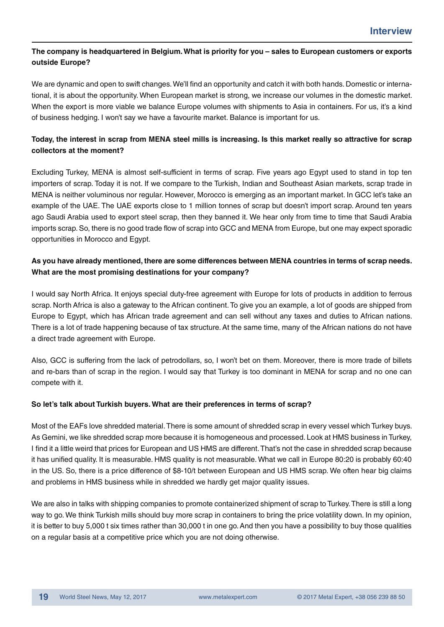## The company is headquartered in Belgium. What is priority for you – sales to European customers or exports outside Europe?

We are dynamic and open to swift changes. We'll find an opportunity and catch it with both hands. Domestic or international, it is about the opportunity. When European market is strong, we increase our volumes in the domestic market. When the export is more viable we balance Europe volumes with shipments to Asia in containers. For us, it's a kind of business hedging. I won't say we have a favourite market. Balance is important for us.

# Today, the interest in scrap from MENA steel mills is increasing. Is this market really so attractive for scrap collectors at the moment?

Excluding Turkey, MENA is almost self-sufficient in terms of scrap. Five years ago Egypt used to stand in top ten importers of scrap. Today it is not. If we compare to the Turkish, Indian and Southeast Asian markets, scrap trade in MENA is neither voluminous nor regular. However, Morocco is emerging as an important market. In GCC let's take an example of the UAE. The UAE exports close to 1 million tonnes of scrap but doesn't import scrap. Around ten years ago Saudi Arabia used to export steel scrap, then they banned it. We hear only from time to time that Saudi Arabia imports scrap. So, there is no good trade flow of scrap into GCC and MENA from Europe, but one may expect sporadic opportunities in Morocco and Egypt.

# As you have already mentioned, there are some differences between MENA countries in terms of scrap needs. What are the most promising destinations for your company?

I would say North Africa. It enjoys special duty-free agreement with Europe for lots of products in addition to ferrous scrap. North Africa is also a gateway to the African continent. To give you an example, a lot of goods are shipped from Europe to Egypt, which has African trade agreement and can sell without any taxes and duties to African nations. There is a lot of trade happening because of tax structure. At the same time, many of the African nations do not have a direct trade agreement with Europe.

Also, GCC is suffering from the lack of petrodollars, so, I won't bet on them. Moreover, there is more trade of billets and re-bars than of scrap in the region. I would say that Turkey is too dominant in MENA for scrap and no one can compete with it.

## So let's talk about Turkish buyers. What are their preferences in terms of scrap?

Most of the EAFs love shredded material. There is some amount of shredded scrap in every vessel which Turkey buys. As Gemini, we like shredded scrap more because it is homogeneous and processed. Look at HMS business in Turkey, I find it a little weird that prices for European and US HMS are different. That's not the case in shredded scrap because it has unified quality. It is measurable. HMS quality is not measurable. What we call in Europe 80:20 is probably 60:40 in the US. So, there is a price difference of \$8-10/t between European and US HMS scrap. We often hear big claims and problems in HMS business while in shredded we hardly get major quality issues.

We are also in talks with shipping companies to promote containerized shipment of scrap to Turkey. There is still a long way to go. We think Turkish mills should buy more scrap in containers to bring the price volatility down. In my opinion, it is better to buy 5,000 t six times rather than 30,000 t in one go. And then you have a possibility to buy those qualities on a regular basis at a competitive price which you are not doing otherwise.